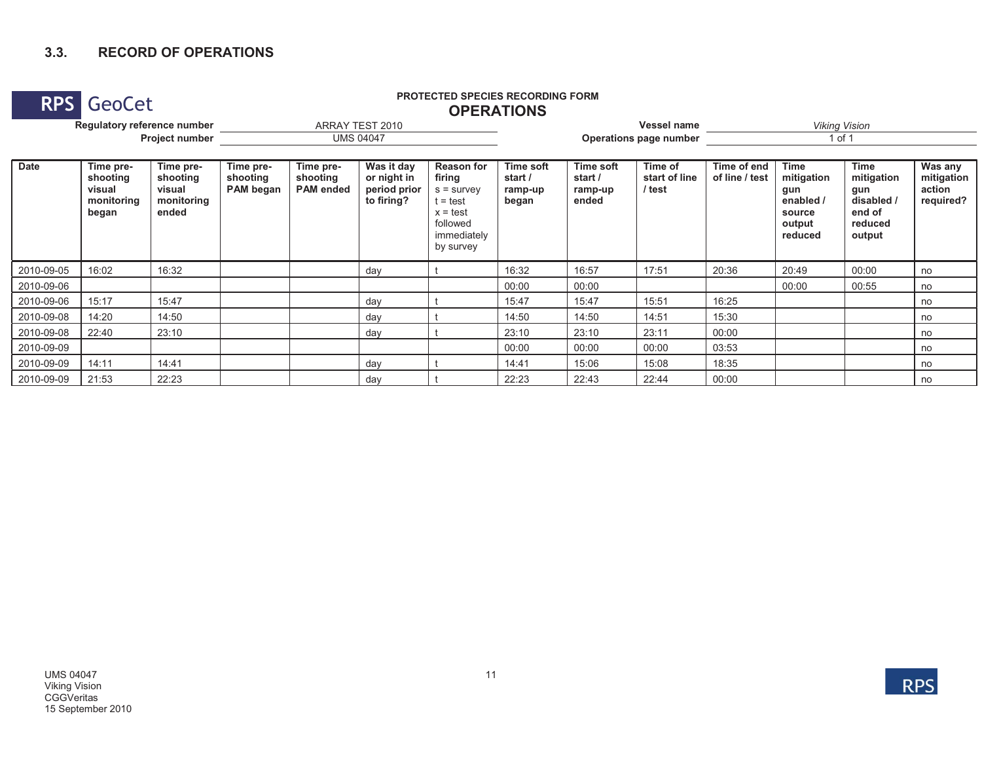### **3.3. RECORD OF OPERATIONS**

### **RPS GeoCet PROTECTED SPECIES RECORDING FORM PROTECTED SPECIES RECORDING FORM OPERATIONS**

| Regulatory reference number<br>Project number |                                                        |                                                        |                                    |                                           | ARRAY TEST 2010                                         |                                                                                                               |                                          |                                                 | Vessel name                        | <b>Viking Vision</b>          |                                                                              |                                                                               |                                              |  |  |
|-----------------------------------------------|--------------------------------------------------------|--------------------------------------------------------|------------------------------------|-------------------------------------------|---------------------------------------------------------|---------------------------------------------------------------------------------------------------------------|------------------------------------------|-------------------------------------------------|------------------------------------|-------------------------------|------------------------------------------------------------------------------|-------------------------------------------------------------------------------|----------------------------------------------|--|--|
|                                               |                                                        |                                                        |                                    |                                           | <b>UMS 04047</b>                                        |                                                                                                               |                                          |                                                 | Operations page number             | 1 of 1                        |                                                                              |                                                                               |                                              |  |  |
| <b>Date</b>                                   | Time pre-<br>shooting<br>visual<br>monitoring<br>began | Time pre-<br>shooting<br>visual<br>monitoring<br>ended | Time pre-<br>shooting<br>PAM began | Time pre-<br>shooting<br><b>PAM</b> ended | Was it day<br>or night in<br>period prior<br>to firing? | <b>Reason for</b><br>firing<br>$s =$ survey<br>t = test<br>$x = test$<br>followed<br>immediately<br>by survey | Time soft<br>start /<br>ramp-up<br>began | <b>Time soft</b><br>start /<br>ramp-up<br>ended | Time of<br>start of line<br>/ test | Time of end<br>of line / test | <b>Time</b><br>mitigation<br>gun<br>enabled /<br>source<br>output<br>reduced | <b>Time</b><br>mitigation<br>gun<br>disabled /<br>end of<br>reduced<br>output | Was any<br>mitigation<br>action<br>required? |  |  |
| 2010-09-05                                    | 16:02                                                  | 16:32                                                  |                                    |                                           | day                                                     |                                                                                                               | 16:32                                    | 16:57                                           | 17:51                              | 20:36                         | 20:49                                                                        | 00:00                                                                         | no                                           |  |  |
| 2010-09-06                                    |                                                        |                                                        |                                    |                                           |                                                         |                                                                                                               | 00:00                                    | 00:00                                           |                                    |                               | 00:00                                                                        | 00:55                                                                         | no                                           |  |  |
| 2010-09-06                                    | 15:17                                                  | 15:47                                                  |                                    |                                           | day                                                     |                                                                                                               | 15:47                                    | 15:47                                           | 15:51                              | 16:25                         |                                                                              |                                                                               | no                                           |  |  |
| 2010-09-08                                    | 14:20                                                  | 14:50                                                  |                                    |                                           | day                                                     |                                                                                                               | 14:50                                    | 14:50                                           | 14:51                              | 15:30                         |                                                                              |                                                                               | no                                           |  |  |
| 2010-09-08                                    | 22:40                                                  | 23:10                                                  |                                    |                                           | day                                                     |                                                                                                               | 23:10                                    | 23:10                                           | 23:11                              | 00:00                         |                                                                              |                                                                               | no                                           |  |  |
| 2010-09-09                                    |                                                        |                                                        |                                    |                                           |                                                         |                                                                                                               | 00:00                                    | 00:00                                           | 00:00                              | 03:53                         |                                                                              |                                                                               | no                                           |  |  |
| 2010-09-09                                    | 14:11                                                  | 14:41                                                  |                                    |                                           | day                                                     |                                                                                                               | 14:41                                    | 15:06                                           | 15:08                              | 18:35                         |                                                                              |                                                                               | no                                           |  |  |
| 2010-09-09                                    | 21:53                                                  | 22:23                                                  |                                    |                                           | day                                                     |                                                                                                               | 22:23                                    | 22:43                                           | 22:44                              | 00:00                         |                                                                              |                                                                               | no                                           |  |  |